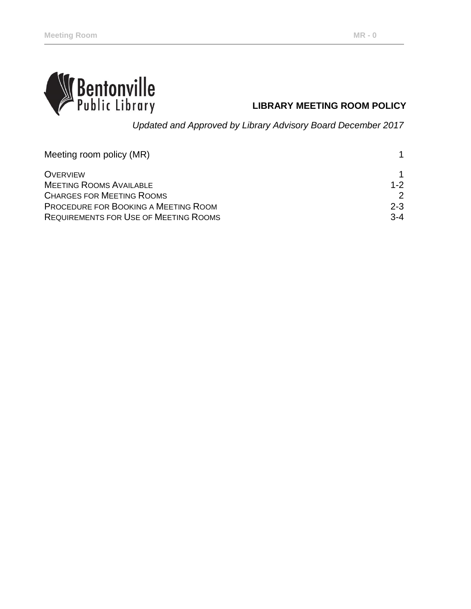

# **LIBRARY MEETING ROOM POLICY**

*Updated and Approved by Library Advisory Board December 2017*

| Meeting room policy (MR)                     |               |
|----------------------------------------------|---------------|
| <b>OVERVIEW</b>                              | 1             |
| <b>MEETING ROOMS AVAILABLE</b>               | $1 - 2$       |
| <b>CHARGES FOR MEETING ROOMS</b>             | $\mathcal{P}$ |
| PROCEDURE FOR BOOKING A MEETING ROOM         | $2 - 3$       |
| <b>REQUIREMENTS FOR USE OF MEETING ROOMS</b> | $3 - 4$       |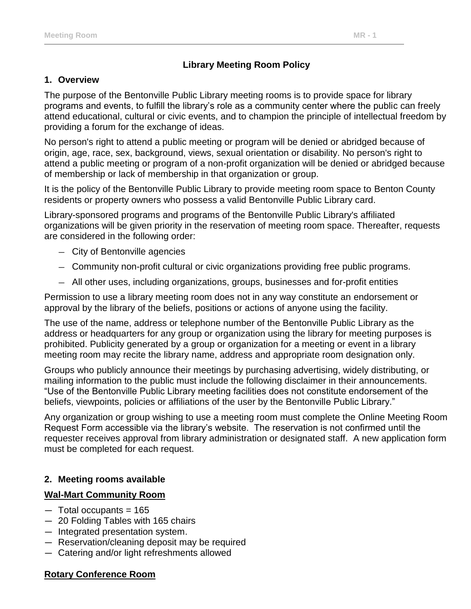## **Library Meeting Room Policy**

#### **1. Overview**

The purpose of the Bentonville Public Library meeting rooms is to provide space for library programs and events, to fulfill the library's role as a community center where the public can freely attend educational, cultural or civic events, and to champion the principle of intellectual freedom by providing a forum for the exchange of ideas.

No person's right to attend a public meeting or program will be denied or abridged because of origin, age, race, sex, background, views, sexual orientation or disability. No person's right to attend a public meeting or program of a non-profit organization will be denied or abridged because of membership or lack of membership in that organization or group.

It is the policy of the Bentonville Public Library to provide meeting room space to Benton County residents or property owners who possess a valid Bentonville Public Library card.

Library-sponsored programs and programs of the Bentonville Public Library's affiliated organizations will be given priority in the reservation of meeting room space. Thereafter, requests are considered in the following order:

- ― City of Bentonville agencies
- ― Community non-profit cultural or civic organizations providing free public programs.
- ― All other uses, including organizations, groups, businesses and for-profit entities

Permission to use a library meeting room does not in any way constitute an endorsement or approval by the library of the beliefs, positions or actions of anyone using the facility.

The use of the name, address or telephone number of the Bentonville Public Library as the address or headquarters for any group or organization using the library for meeting purposes is prohibited. Publicity generated by a group or organization for a meeting or event in a library meeting room may recite the library name, address and appropriate room designation only.

Groups who publicly announce their meetings by purchasing advertising, widely distributing, or mailing information to the public must include the following disclaimer in their announcements. "Use of the Bentonville Public Library meeting facilities does not constitute endorsement of the beliefs, viewpoints, policies or affiliations of the user by the Bentonville Public Library."

Any organization or group wishing to use a meeting room must complete the Online Meeting Room Request Form accessible via the library's website. The reservation is not confirmed until the requester receives approval from library administration or designated staff. A new application form must be completed for each request.

#### **2. Meeting rooms available**

#### **Wal-Mart Community Room**

- $-$  Total occupants = 165
- ― 20 Folding Tables with 165 chairs
- ― Integrated presentation system.
- ― Reservation/cleaning deposit may be required
- ― Catering and/or light refreshments allowed

#### **Rotary Conference Room**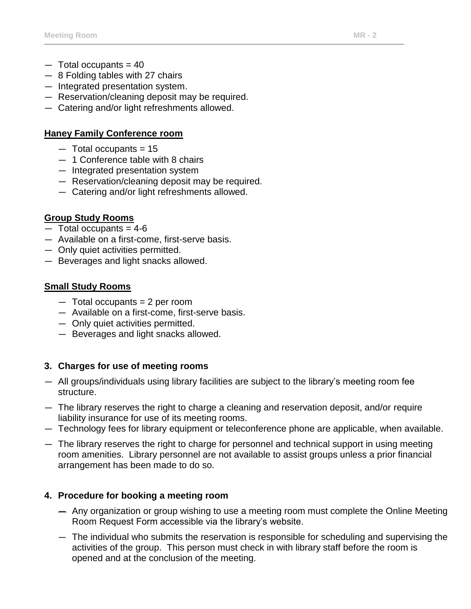- $-$  Total occupants = 40
- ― 8 Folding tables with 27 chairs
- ― Integrated presentation system.
- ― Reservation/cleaning deposit may be required.
- ― Catering and/or light refreshments allowed.

### **Haney Family Conference room**

- $-$  Total occupants = 15
- ― 1 Conference table with 8 chairs
- ― Integrated presentation system
- ― Reservation/cleaning deposit may be required.
- ― Catering and/or light refreshments allowed.

### **Group Study Rooms**

- $-$  Total occupants = 4-6
- ― Available on a first-come, first-serve basis.
- ― Only quiet activities permitted.
- ― Beverages and light snacks allowed.

### **Small Study Rooms**

- $-$  Total occupants = 2 per room
- ― Available on a first-come, first-serve basis.
- ― Only quiet activities permitted.
- ― Beverages and light snacks allowed.

### **3. Charges for use of meeting rooms**

- ― All groups/individuals using library facilities are subject to the library's meeting room fee structure.
- ― The library reserves the right to charge a cleaning and reservation deposit, and/or require liability insurance for use of its meeting rooms.
- ― Technology fees for library equipment or teleconference phone are applicable, when available.
- ― The library reserves the right to charge for personnel and technical support in using meeting room amenities. Library personnel are not available to assist groups unless a prior financial arrangement has been made to do so.

### **4. Procedure for booking a meeting room**

- ― Any organization or group wishing to use a meeting room must complete the Online Meeting Room Request Form accessible via the library's website.
- ― The individual who submits the reservation is responsible for scheduling and supervising the activities of the group. This person must check in with library staff before the room is opened and at the conclusion of the meeting.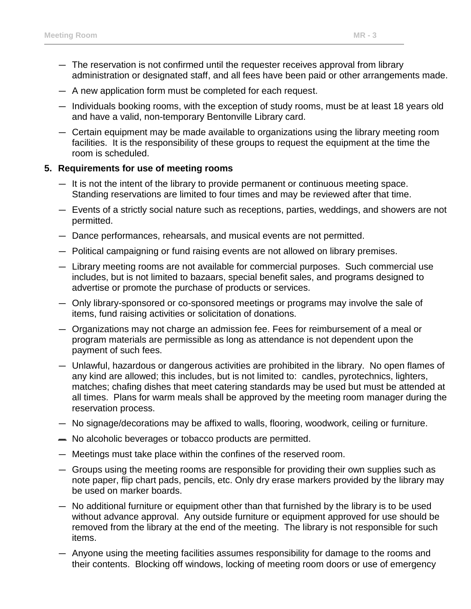- ― The reservation is not confirmed until the requester receives approval from library administration or designated staff, and all fees have been paid or other arrangements made.
- ― A new application form must be completed for each request.
- ― Individuals booking rooms, with the exception of study rooms, must be at least 18 years old and have a valid, non-temporary Bentonville Library card.
- ― Certain equipment may be made available to organizations using the library meeting room facilities. It is the responsibility of these groups to request the equipment at the time the room is scheduled.

#### **5. Requirements for use of meeting rooms**

- ― It is not the intent of the library to provide permanent or continuous meeting space. Standing reservations are limited to four times and may be reviewed after that time.
- ― Events of a strictly social nature such as receptions, parties, weddings, and showers are not permitted.
- ― Dance performances, rehearsals, and musical events are not permitted.
- ― Political campaigning or fund raising events are not allowed on library premises.
- ― Library meeting rooms are not available for commercial purposes. Such commercial use includes, but is not limited to bazaars, special benefit sales, and programs designed to advertise or promote the purchase of products or services.
- ― Only library-sponsored or co-sponsored meetings or programs may involve the sale of items, fund raising activities or solicitation of donations.
- ― Organizations may not charge an admission fee. Fees for reimbursement of a meal or program materials are permissible as long as attendance is not dependent upon the payment of such fees.
- ― Unlawful, hazardous or dangerous activities are prohibited in the library. No open flames of any kind are allowed; this includes, but is not limited to: candles, pyrotechnics, lighters, matches; chafing dishes that meet catering standards may be used but must be attended at all times. Plans for warm meals shall be approved by the meeting room manager during the reservation process.
- ― No signage/decorations may be affixed to walls, flooring, woodwork, ceiling or furniture.
- ― No alcoholic beverages or tobacco products are permitted.
- ― Meetings must take place within the confines of the reserved room.
- ― Groups using the meeting rooms are responsible for providing their own supplies such as note paper, flip chart pads, pencils, etc. Only dry erase markers provided by the library may be used on marker boards.
- ― No additional furniture or equipment other than that furnished by the library is to be used without advance approval. Any outside furniture or equipment approved for use should be removed from the library at the end of the meeting. The library is not responsible for such items.
- ― Anyone using the meeting facilities assumes responsibility for damage to the rooms and their contents. Blocking off windows, locking of meeting room doors or use of emergency